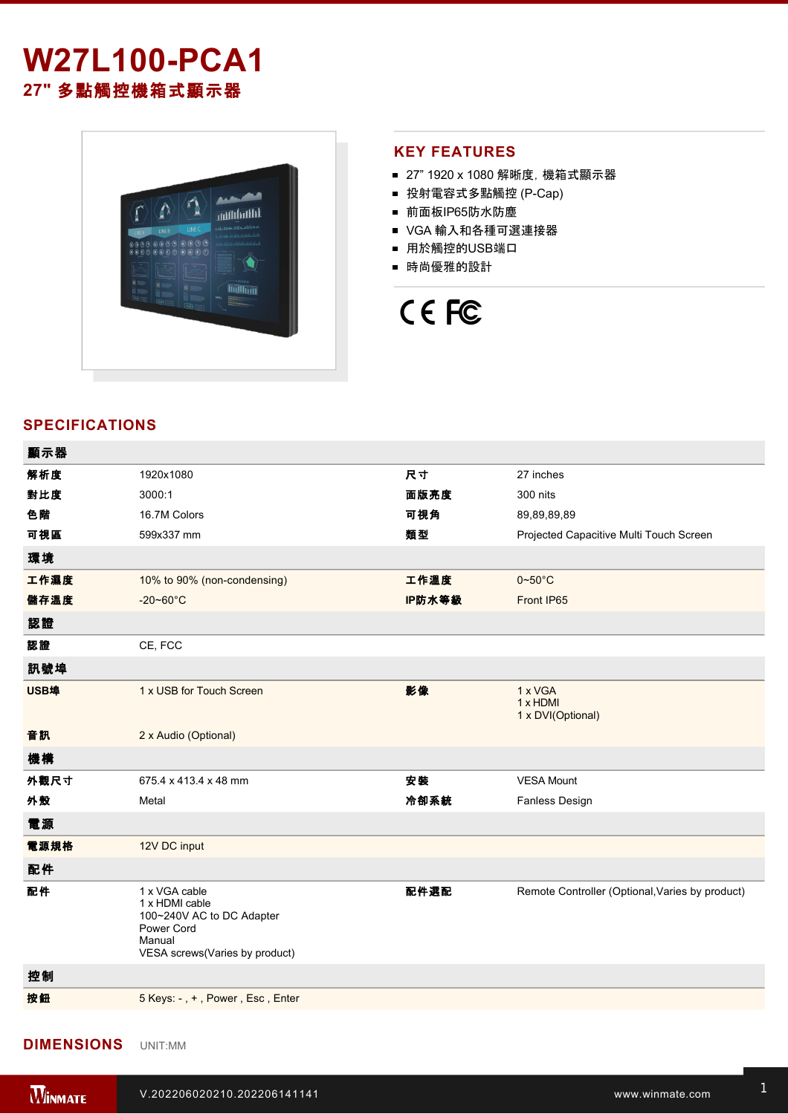# **W27L100-PCA1 27"** 多點觸控機箱式顯示器



### **KEY FEATURES**

- 27" 1920 x 1080 解晰度, 機箱式顯示器
- 投射電容式多點觸控 (P-Cap)
- 前面板IP65防水防塵
- VGA 輸入和各種可選連接器
- 用於觸控的USB端口
- 時尚優雅的設計

# CE FC

# **SPECIFICATIONS**

| 顯示器  |                                                                                                                        |        |                                                 |
|------|------------------------------------------------------------------------------------------------------------------------|--------|-------------------------------------------------|
| 解析度  | 1920x1080                                                                                                              | 尺寸     | 27 inches                                       |
| 對比度  | 3000:1                                                                                                                 | 面版亮度   | 300 nits                                        |
| 色階   | 16.7M Colors                                                                                                           | 可視角    | 89,89,89,89                                     |
| 可視區  | 599x337 mm                                                                                                             | 類型     | Projected Capacitive Multi Touch Screen         |
| 環境   |                                                                                                                        |        |                                                 |
| 工作濕度 | 10% to 90% (non-condensing)                                                                                            | 工作溫度   | $0 - 50$ °C                                     |
| 儲存溫度 | $-20 - 60^{\circ}$ C                                                                                                   | IP防水等級 | Front IP65                                      |
| 認證   |                                                                                                                        |        |                                                 |
| 認證   | CE, FCC                                                                                                                |        |                                                 |
| 訊號埠  |                                                                                                                        |        |                                                 |
| USB埠 | 1 x USB for Touch Screen                                                                                               | 影像     | 1 x VGA<br>1 x HDMI<br>1 x DVI(Optional)        |
| 音訊   | 2 x Audio (Optional)                                                                                                   |        |                                                 |
| 機構   |                                                                                                                        |        |                                                 |
| 外觀尺寸 | 675.4 x 413.4 x 48 mm                                                                                                  | 安装     | <b>VESA Mount</b>                               |
| 外殼   | Metal                                                                                                                  | 冷卻系統   | Fanless Design                                  |
| 電源   |                                                                                                                        |        |                                                 |
| 電源規格 | 12V DC input                                                                                                           |        |                                                 |
| 配件   |                                                                                                                        |        |                                                 |
| 配件   | 1 x VGA cable<br>1 x HDMI cable<br>100~240V AC to DC Adapter<br>Power Cord<br>Manual<br>VESA screws(Varies by product) | 配件選配   | Remote Controller (Optional, Varies by product) |
| 控制   |                                                                                                                        |        |                                                 |
| 按鈕   | 5 Keys: -, +, Power, Esc, Enter                                                                                        |        |                                                 |
|      |                                                                                                                        |        |                                                 |

#### **DIMENSIONS**  UNIT:MM